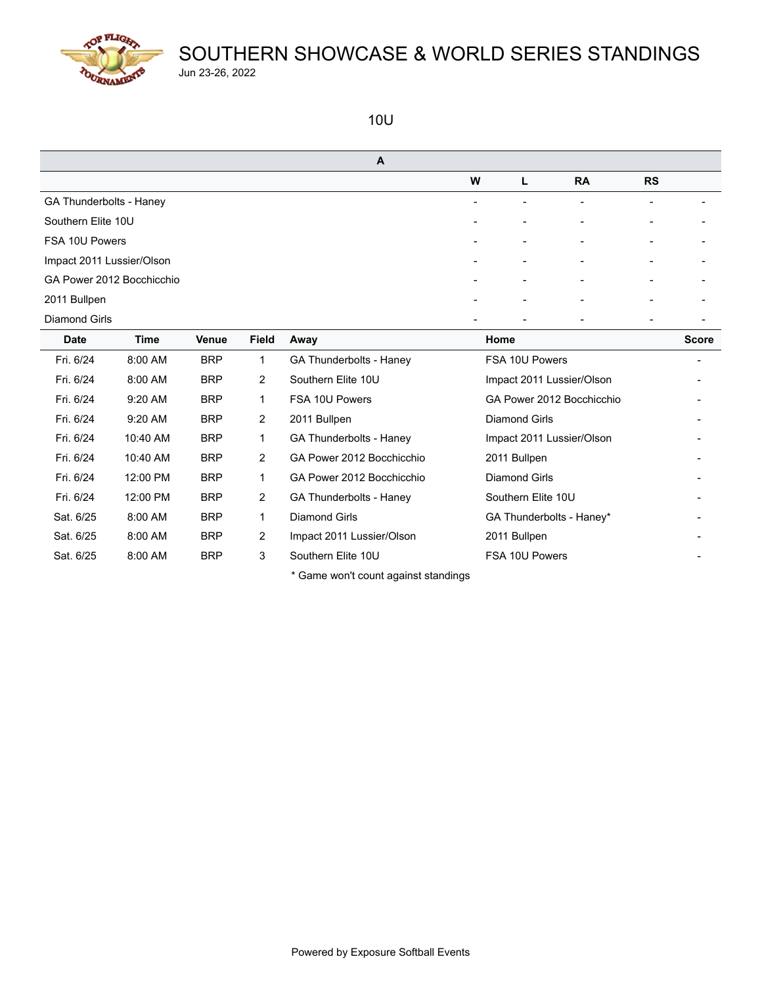

#### 10U

| A                         |             |              |                |                                |   |                           |                           |                          |                          |  |
|---------------------------|-------------|--------------|----------------|--------------------------------|---|---------------------------|---------------------------|--------------------------|--------------------------|--|
|                           |             |              |                |                                | W | L                         | <b>RA</b>                 | <b>RS</b>                |                          |  |
| GA Thunderbolts - Haney   |             |              |                |                                |   | $\blacksquare$            | $\blacksquare$            | $\overline{\phantom{a}}$ |                          |  |
| Southern Elite 10U        |             |              |                |                                |   |                           |                           |                          |                          |  |
| FSA 10U Powers            |             |              |                |                                |   | $\overline{\phantom{0}}$  |                           | $\overline{\phantom{0}}$ |                          |  |
| Impact 2011 Lussier/Olson |             |              |                |                                |   |                           |                           |                          |                          |  |
| GA Power 2012 Bocchicchio |             |              |                |                                |   |                           |                           | $\overline{a}$           |                          |  |
| 2011 Bullpen              |             |              |                |                                |   |                           |                           |                          |                          |  |
| Diamond Girls             |             |              |                |                                |   |                           |                           | $\overline{\phantom{a}}$ |                          |  |
| <b>Date</b>               | <b>Time</b> | <b>Venue</b> | Field          | Away                           |   | Home                      |                           |                          | <b>Score</b>             |  |
| Fri. 6/24                 | 8:00 AM     | <b>BRP</b>   | $\mathbf{1}$   | <b>GA Thunderbolts - Haney</b> |   | FSA 10U Powers            |                           |                          | $\overline{\phantom{a}}$ |  |
| Fri. 6/24                 | 8:00 AM     | <b>BRP</b>   | 2              | Southern Elite 10U             |   | Impact 2011 Lussier/Olson |                           |                          |                          |  |
| Fri. 6/24                 | 9:20 AM     | <b>BRP</b>   | 1              | FSA 10U Powers                 |   |                           | GA Power 2012 Bocchicchio |                          |                          |  |
| Fri. 6/24                 | $9:20$ AM   | <b>BRP</b>   | $\overline{2}$ | 2011 Bullpen                   |   | <b>Diamond Girls</b>      |                           |                          |                          |  |
| Fri. 6/24                 | 10:40 AM    | <b>BRP</b>   | $\mathbf{1}$   | <b>GA Thunderbolts - Haney</b> |   | Impact 2011 Lussier/Olson |                           |                          |                          |  |
| Fri. 6/24                 | 10:40 AM    | <b>BRP</b>   | $\overline{2}$ | GA Power 2012 Bocchicchio      |   | 2011 Bullpen              |                           |                          |                          |  |
| Fri. 6/24                 | 12:00 PM    | <b>BRP</b>   | 1              | GA Power 2012 Bocchicchio      |   | Diamond Girls             |                           |                          |                          |  |
| Fri. 6/24                 | 12:00 PM    | <b>BRP</b>   | 2              | GA Thunderbolts - Haney        |   | Southern Elite 10U        |                           |                          |                          |  |
| Sat. 6/25                 | 8:00 AM     | <b>BRP</b>   | $\mathbf{1}$   | <b>Diamond Girls</b>           |   | GA Thunderbolts - Haney*  |                           |                          |                          |  |
| Sat. 6/25                 | 8:00 AM     | <b>BRP</b>   | 2              | Impact 2011 Lussier/Olson      |   | 2011 Bullpen              |                           |                          |                          |  |
| Sat. 6/25                 | 8:00 AM     | <b>BRP</b>   | 3              | Southern Elite 10U             |   | FSA 10U Powers            |                           |                          |                          |  |

\* Game won't count against standings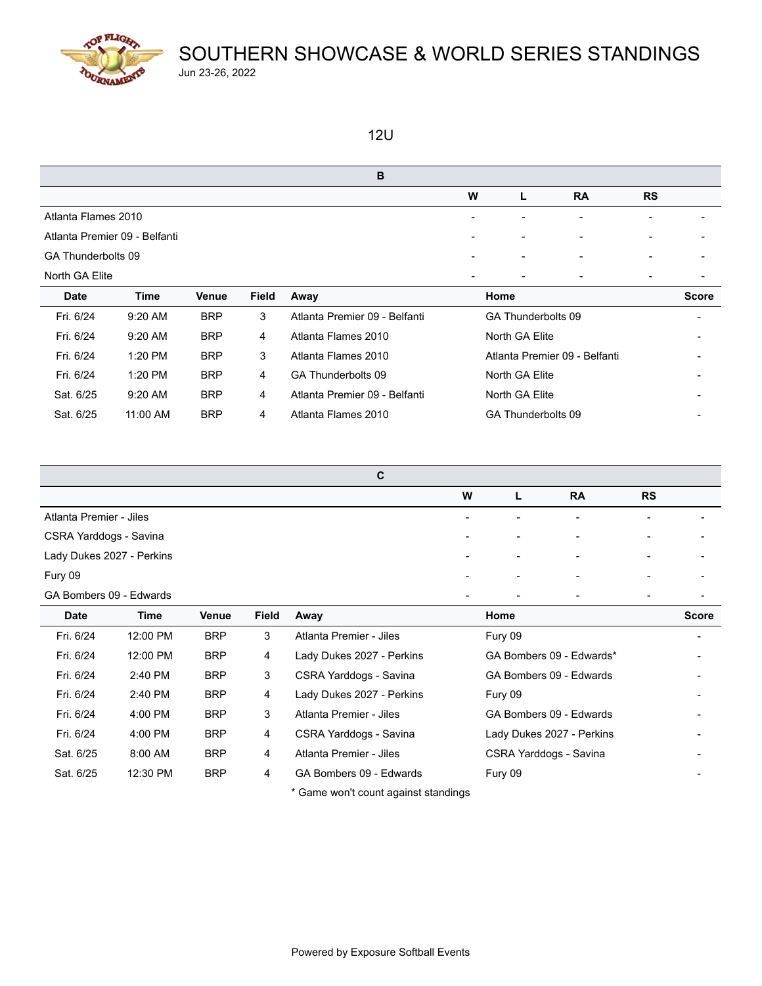

#### 12U

| B                   |                               |              |              |                               |   |                    |                               |           |              |  |  |
|---------------------|-------------------------------|--------------|--------------|-------------------------------|---|--------------------|-------------------------------|-----------|--------------|--|--|
|                     |                               |              |              |                               | W | L                  | <b>RA</b>                     | <b>RS</b> |              |  |  |
| Atlanta Flames 2010 |                               |              |              |                               |   |                    | $\overline{\phantom{a}}$      | ۰         |              |  |  |
|                     | Atlanta Premier 09 - Belfanti |              |              |                               |   |                    |                               |           |              |  |  |
| GA Thunderbolts 09  |                               |              |              |                               |   |                    | $\qquad \qquad$               |           |              |  |  |
| North GA Elite      |                               |              |              |                               |   |                    |                               |           |              |  |  |
| <b>Date</b>         | <b>Time</b>                   | <b>Venue</b> | <b>Field</b> | Away                          |   | Home               |                               |           | <b>Score</b> |  |  |
| Fri. 6/24           | 9:20 AM                       | <b>BRP</b>   | 3            | Atlanta Premier 09 - Belfanti |   | GA Thunderbolts 09 |                               |           |              |  |  |
| Fri. 6/24           | 9:20 AM                       | <b>BRP</b>   | 4            | Atlanta Flames 2010           |   | North GA Elite     |                               |           | -            |  |  |
| Fri. 6/24           | 1:20 PM                       | <b>BRP</b>   | 3            | Atlanta Flames 2010           |   |                    | Atlanta Premier 09 - Belfanti |           |              |  |  |
| Fri. 6/24           | 1:20 PM                       | <b>BRP</b>   | 4            | GA Thunderbolts 09            |   | North GA Elite     |                               |           |              |  |  |
| Sat. 6/25           | 9:20 AM                       | <b>BRP</b>   | 4            | Atlanta Premier 09 - Belfanti |   | North GA Elite     |                               |           |              |  |  |
| Sat. 6/25           | 11:00 AM                      | <b>BRP</b>   | 4            | Atlanta Flames 2010           |   | GA Thunderbolts 09 |                               |           |              |  |  |

|                           | C                        |                          |                          |                          |  |
|---------------------------|--------------------------|--------------------------|--------------------------|--------------------------|--|
|                           | W                        | L                        | <b>RA</b>                | <b>RS</b>                |  |
| Atlanta Premier - Jiles   | $\overline{\phantom{a}}$ | $\sim$                   | $\overline{\phantom{a}}$ | $\overline{\phantom{a}}$ |  |
| CSRA Yarddogs - Savina    | $\overline{\phantom{a}}$ | $\overline{\phantom{0}}$ | $\blacksquare$           | $\overline{\phantom{a}}$ |  |
| Lady Dukes 2027 - Perkins | $\overline{\phantom{a}}$ | $\sim$                   | $\sim$                   | -                        |  |
| Fury 09                   | $\,$                     | $\overline{\phantom{0}}$ | $\blacksquare$           | $\overline{\phantom{0}}$ |  |
| GA Bombers 09 - Edwards   | $\overline{\phantom{0}}$ | $\overline{\phantom{a}}$ | $\overline{\phantom{0}}$ | -                        |  |

| <b>Date</b> | Time      | Venue      | <b>Field</b> | Away                                 | Home                      | <b>Score</b>             |
|-------------|-----------|------------|--------------|--------------------------------------|---------------------------|--------------------------|
| Fri. 6/24   | 12:00 PM  | <b>BRP</b> | 3            | Atlanta Premier - Jiles              | Fury 09                   | $\overline{\phantom{0}}$ |
| Fri. 6/24   | 12:00 PM  | <b>BRP</b> | 4            | Lady Dukes 2027 - Perkins            | GA Bombers 09 - Edwards*  |                          |
| Fri. 6/24   | 2:40 PM   | <b>BRP</b> | 3            | CSRA Yarddogs - Savina               | GA Bombers 09 - Edwards   |                          |
| Fri. 6/24   | 2:40 PM   | <b>BRP</b> | 4            | Lady Dukes 2027 - Perkins            | Fury 09                   |                          |
| Fri. 6/24   | $4:00$ PM | <b>BRP</b> | 3            | Atlanta Premier - Jiles              | GA Bombers 09 - Edwards   |                          |
| Fri. 6/24   | 4:00 PM   | <b>BRP</b> | 4            | CSRA Yarddogs - Savina               | Lady Dukes 2027 - Perkins | $\qquad \qquad$          |
| Sat. 6/25   | 8:00 AM   | <b>BRP</b> | 4            | Atlanta Premier - Jiles              | CSRA Yarddogs - Savina    |                          |
| Sat. 6/25   | 12:30 PM  | <b>BRP</b> | 4            | GA Bombers 09 - Edwards              | Fury 09                   |                          |
|             |           |            |              | * Game won't count against standings |                           |                          |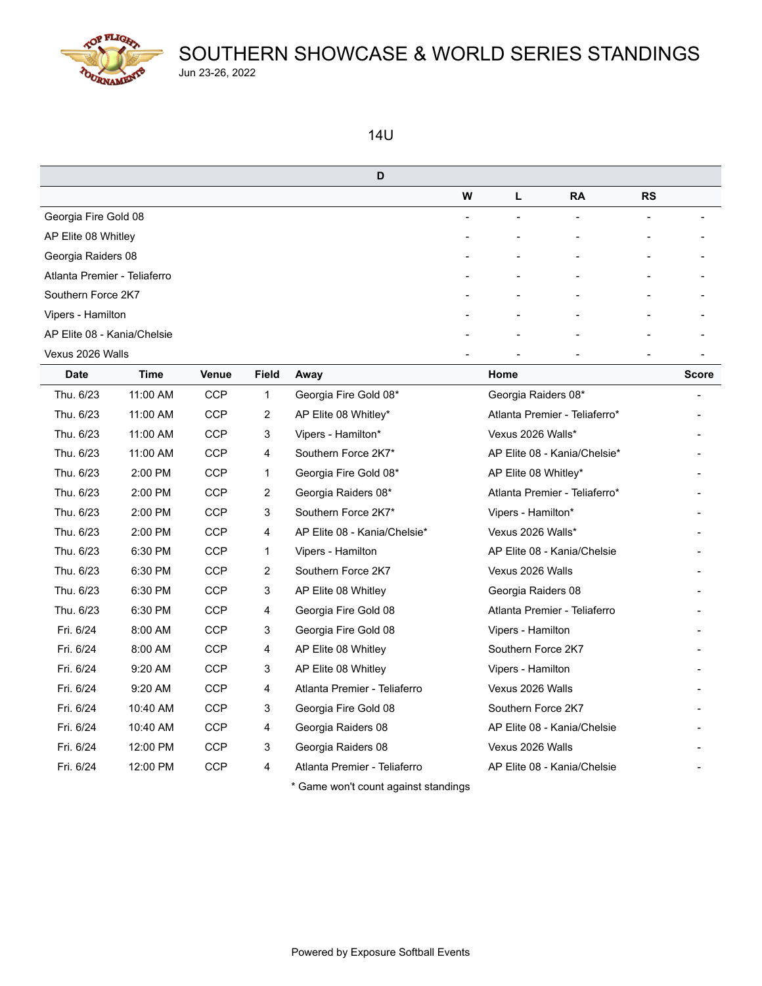

#### 14U

| D                            |                          |                          |                          |                          |   |
|------------------------------|--------------------------|--------------------------|--------------------------|--------------------------|---|
|                              | W                        | L                        | <b>RA</b>                | <b>RS</b>                |   |
| Georgia Fire Gold 08         | -                        | $\overline{\phantom{0}}$ |                          |                          |   |
| AP Elite 08 Whitley          | $\overline{\phantom{0}}$ | $\overline{\phantom{0}}$ | $\overline{\phantom{0}}$ | $\overline{\phantom{a}}$ |   |
| Georgia Raiders 08           | $\overline{\phantom{0}}$ | $\overline{\phantom{a}}$ | $\overline{\phantom{a}}$ |                          | - |
| Atlanta Premier - Teliaferro | -                        | $\overline{\phantom{0}}$ |                          |                          |   |
| Southern Force 2K7           | $\overline{\phantom{0}}$ | $\overline{\phantom{0}}$ |                          |                          |   |
| Vipers - Hamilton            | -                        | $\overline{\phantom{0}}$ |                          |                          |   |
| AP Elite 08 - Kania/Chelsie  | ۰                        | $\overline{\phantom{a}}$ |                          |                          |   |
| Vexus 2026 Walls             |                          | $\overline{\phantom{0}}$ |                          |                          |   |

| <b>Date</b> | Time     | <b>Venue</b> | <b>Field</b> | Away                                 | Home                          | <b>Score</b> |
|-------------|----------|--------------|--------------|--------------------------------------|-------------------------------|--------------|
| Thu. 6/23   | 11:00 AM | <b>CCP</b>   | 1            | Georgia Fire Gold 08*                | Georgia Raiders 08*           |              |
| Thu. 6/23   | 11:00 AM | <b>CCP</b>   | 2            | AP Elite 08 Whitley*                 | Atlanta Premier - Teliaferro* |              |
| Thu. 6/23   | 11:00 AM | <b>CCP</b>   | 3            | Vipers - Hamilton*                   | Vexus 2026 Walls*             |              |
| Thu. 6/23   | 11:00 AM | <b>CCP</b>   | 4            | Southern Force 2K7*                  | AP Elite 08 - Kania/Chelsie*  |              |
| Thu. 6/23   | 2:00 PM  | <b>CCP</b>   | 1            | Georgia Fire Gold 08*                | AP Elite 08 Whitley*          |              |
| Thu. 6/23   | 2:00 PM  | <b>CCP</b>   | 2            | Georgia Raiders 08*                  | Atlanta Premier - Teliaferro* |              |
| Thu. 6/23   | 2:00 PM  | <b>CCP</b>   | 3            | Southern Force 2K7*                  | Vipers - Hamilton*            |              |
| Thu. 6/23   | 2:00 PM  | <b>CCP</b>   | 4            | AP Elite 08 - Kania/Chelsie*         | Vexus 2026 Walls*             |              |
| Thu. 6/23   | 6:30 PM  | <b>CCP</b>   | 1            | Vipers - Hamilton                    | AP Elite 08 - Kania/Chelsie   |              |
| Thu. 6/23   | 6:30 PM  | <b>CCP</b>   | 2            | Southern Force 2K7                   | Vexus 2026 Walls              |              |
| Thu. 6/23   | 6:30 PM  | <b>CCP</b>   | 3            | AP Elite 08 Whitley                  | Georgia Raiders 08            |              |
| Thu. 6/23   | 6:30 PM  | <b>CCP</b>   | 4            | Georgia Fire Gold 08                 | Atlanta Premier - Teliaferro  |              |
| Fri. 6/24   | 8:00 AM  | <b>CCP</b>   | 3            | Georgia Fire Gold 08                 | Vipers - Hamilton             |              |
| Fri. 6/24   | 8:00 AM  | <b>CCP</b>   | 4            | AP Elite 08 Whitley                  | Southern Force 2K7            |              |
| Fri. 6/24   | 9:20 AM  | <b>CCP</b>   | 3            | AP Elite 08 Whitley                  | Vipers - Hamilton             |              |
| Fri. 6/24   | 9:20 AM  | <b>CCP</b>   | 4            | Atlanta Premier - Teliaferro         | Vexus 2026 Walls              |              |
| Fri. 6/24   | 10:40 AM | <b>CCP</b>   | 3            | Georgia Fire Gold 08                 | Southern Force 2K7            |              |
| Fri. 6/24   | 10:40 AM | <b>CCP</b>   | 4            | Georgia Raiders 08                   | AP Elite 08 - Kania/Chelsie   |              |
| Fri. 6/24   | 12:00 PM | <b>CCP</b>   | 3            | Georgia Raiders 08                   | Vexus 2026 Walls              |              |
| Fri. 6/24   | 12:00 PM | <b>CCP</b>   | 4            | Atlanta Premier - Teliaferro         | AP Elite 08 - Kania/Chelsie   |              |
|             |          |              |              | * Game won't count against standings |                               |              |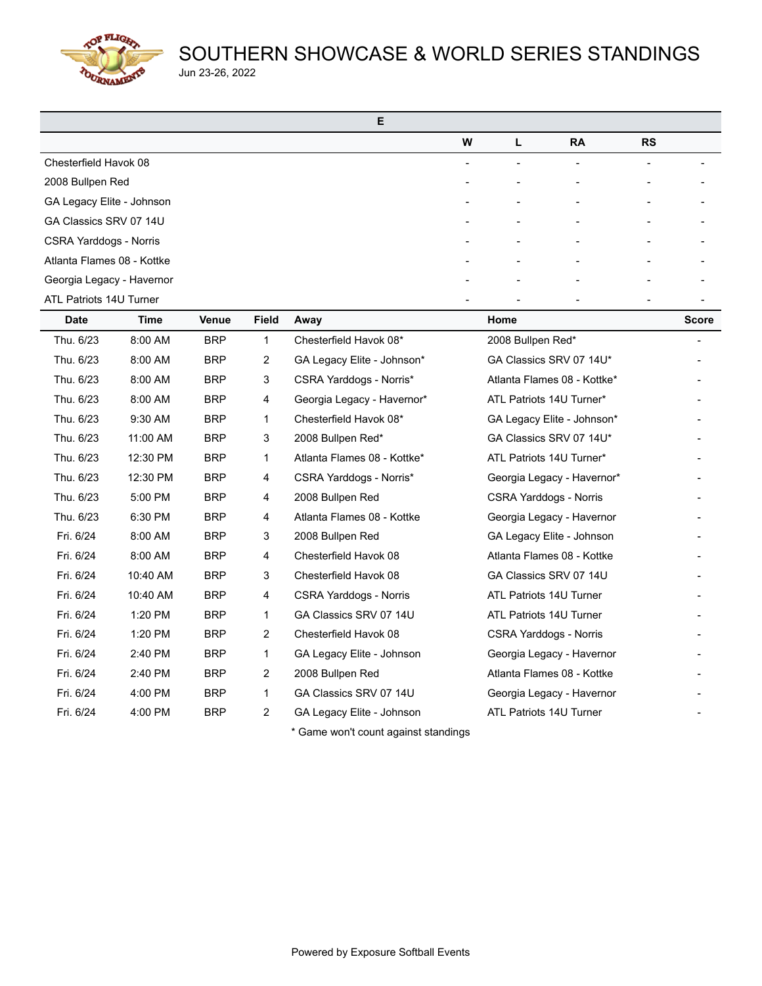TOP FLIGHT OURNAMENT

# SOUTHERN SHOWCASE & WORLD SERIES STANDINGS Jun 23-26, 2022

| Е                             |                          |                          |                          |                          |  |
|-------------------------------|--------------------------|--------------------------|--------------------------|--------------------------|--|
|                               | W                        | L                        | <b>RA</b>                | <b>RS</b>                |  |
| Chesterfield Havok 08         | $\overline{\phantom{a}}$ | ۰                        | $\overline{\phantom{a}}$ | $\overline{a}$           |  |
| 2008 Bullpen Red              |                          |                          | $\overline{\phantom{a}}$ |                          |  |
| GA Legacy Elite - Johnson     | $\overline{\phantom{a}}$ | $\overline{\phantom{a}}$ | $\overline{\phantom{a}}$ |                          |  |
| GA Classics SRV 07 14U        |                          | ÷                        | $\overline{\phantom{a}}$ |                          |  |
| <b>CSRA Yarddogs - Norris</b> |                          |                          | $\overline{\phantom{0}}$ |                          |  |
| Atlanta Flames 08 - Kottke    | $\overline{\phantom{a}}$ | $\overline{\phantom{a}}$ | $\overline{\phantom{a}}$ | $\overline{\phantom{0}}$ |  |
| Georgia Legacy - Havernor     |                          |                          |                          |                          |  |
| ATL Patriots 14U Turner       |                          |                          |                          |                          |  |

| Date      | Time     | <b>Venue</b> | Field          | Away                                 | Home                          | <b>Score</b> |
|-----------|----------|--------------|----------------|--------------------------------------|-------------------------------|--------------|
| Thu. 6/23 | 8:00 AM  | <b>BRP</b>   | 1              | Chesterfield Havok 08*               | 2008 Bullpen Red*             |              |
| Thu. 6/23 | 8:00 AM  | <b>BRP</b>   | 2              | GA Legacy Elite - Johnson*           | GA Classics SRV 07 14U*       |              |
| Thu. 6/23 | 8:00 AM  | <b>BRP</b>   | 3              | CSRA Yarddogs - Norris*              | Atlanta Flames 08 - Kottke*   |              |
| Thu. 6/23 | 8:00 AM  | <b>BRP</b>   | 4              | Georgia Legacy - Havernor*           | ATL Patriots 14U Turner*      |              |
| Thu. 6/23 | 9:30 AM  | <b>BRP</b>   | 1              | Chesterfield Havok 08*               | GA Legacy Elite - Johnson*    |              |
| Thu. 6/23 | 11:00 AM | <b>BRP</b>   | 3              | 2008 Bullpen Red*                    | GA Classics SRV 07 14U*       |              |
| Thu. 6/23 | 12:30 PM | <b>BRP</b>   | 1              | Atlanta Flames 08 - Kottke*          | ATL Patriots 14U Turner*      |              |
| Thu. 6/23 | 12:30 PM | <b>BRP</b>   | 4              | CSRA Yarddogs - Norris*              | Georgia Legacy - Havernor*    |              |
| Thu. 6/23 | 5:00 PM  | <b>BRP</b>   | 4              | 2008 Bullpen Red                     | <b>CSRA Yarddogs - Norris</b> |              |
| Thu. 6/23 | 6:30 PM  | <b>BRP</b>   | 4              | Atlanta Flames 08 - Kottke           | Georgia Legacy - Havernor     |              |
| Fri. 6/24 | 8:00 AM  | <b>BRP</b>   | 3              | 2008 Bullpen Red                     | GA Legacy Elite - Johnson     |              |
| Fri. 6/24 | 8:00 AM  | <b>BRP</b>   | 4              | Chesterfield Havok 08                | Atlanta Flames 08 - Kottke    |              |
| Fri. 6/24 | 10:40 AM | <b>BRP</b>   | 3              | Chesterfield Havok 08                | GA Classics SRV 07 14U        |              |
| Fri. 6/24 | 10:40 AM | <b>BRP</b>   | 4              | <b>CSRA Yarddogs - Norris</b>        | ATL Patriots 14U Turner       |              |
| Fri. 6/24 | 1:20 PM  | <b>BRP</b>   | 1              | GA Classics SRV 07 14U               | ATL Patriots 14U Turner       |              |
| Fri. 6/24 | 1:20 PM  | <b>BRP</b>   | $\overline{2}$ | Chesterfield Havok 08                | <b>CSRA Yarddogs - Norris</b> |              |
| Fri. 6/24 | 2:40 PM  | <b>BRP</b>   | 1              | GA Legacy Elite - Johnson            | Georgia Legacy - Havernor     |              |
| Fri. 6/24 | 2:40 PM  | <b>BRP</b>   | 2              | 2008 Bullpen Red                     | Atlanta Flames 08 - Kottke    |              |
| Fri. 6/24 | 4:00 PM  | <b>BRP</b>   | 1              | GA Classics SRV 07 14U               | Georgia Legacy - Havernor     |              |
| Fri. 6/24 | 4:00 PM  | <b>BRP</b>   | 2              | GA Legacy Elite - Johnson            | ATL Patriots 14U Turner       |              |
|           |          |              |                | * Game won't count against standings |                               |              |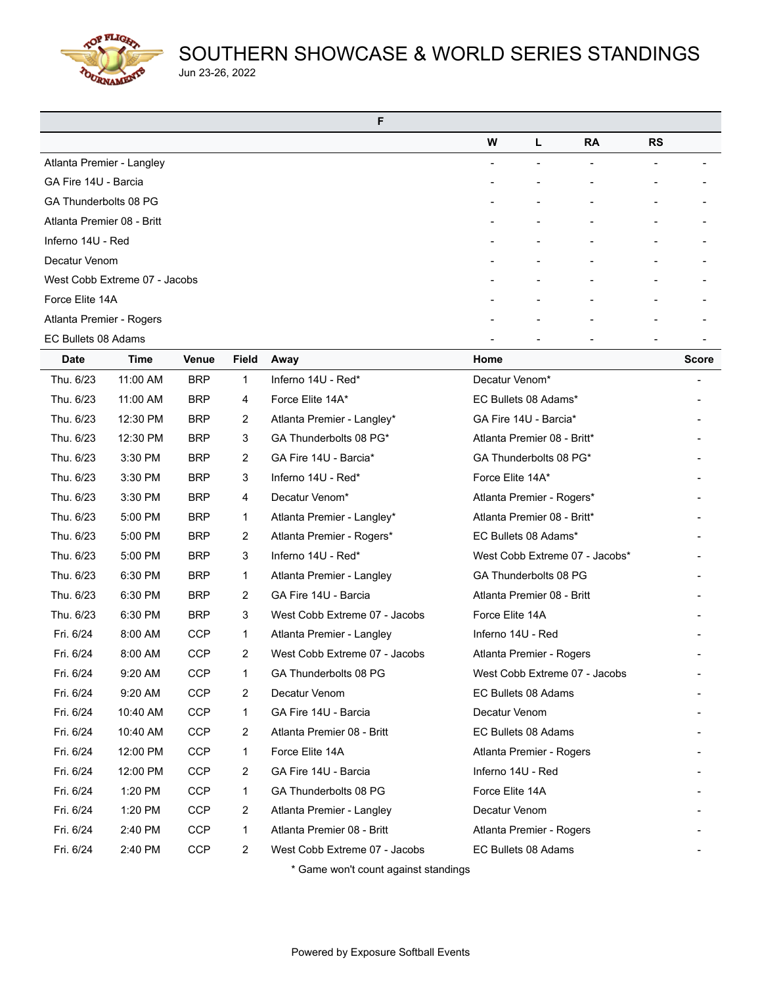**COP FLIGHT** OURNAMEN

# SOUTHERN SHOWCASE & WORLD SERIES STANDINGS Jun 23-26, 2022

| F                             |   |    |           |           |                          |
|-------------------------------|---|----|-----------|-----------|--------------------------|
|                               | W | L  | <b>RA</b> | <b>RS</b> |                          |
| Atlanta Premier - Langley     |   |    |           |           |                          |
| GA Fire 14U - Barcia          |   |    |           |           |                          |
| GA Thunderbolts 08 PG         |   |    |           |           |                          |
| Atlanta Premier 08 - Britt    |   |    |           |           |                          |
| Inferno 14U - Red             |   |    |           |           |                          |
| Decatur Venom                 |   |    |           |           |                          |
| West Cobb Extreme 07 - Jacobs |   | ۰. |           |           |                          |
| Force Elite 14A               |   |    |           |           |                          |
| Atlanta Premier - Rogers      |   |    |           |           |                          |
| EC Bullets 08 Adams           |   |    |           |           | $\overline{\phantom{a}}$ |

| <b>Date</b> | <b>Time</b> | Venue      | <b>Field</b> | Away                          | Home                           | <b>Score</b> |
|-------------|-------------|------------|--------------|-------------------------------|--------------------------------|--------------|
| Thu. 6/23   | 11:00 AM    | <b>BRP</b> | $\mathbf{1}$ | Inferno 14U - Red*            | Decatur Venom*                 |              |
| Thu. 6/23   | 11:00 AM    | <b>BRP</b> | 4            | Force Elite 14A*              | EC Bullets 08 Adams*           |              |
| Thu. 6/23   | 12:30 PM    | <b>BRP</b> | 2            | Atlanta Premier - Langley*    | GA Fire 14U - Barcia*          |              |
| Thu. 6/23   | 12:30 PM    | <b>BRP</b> | 3            | GA Thunderbolts 08 PG*        | Atlanta Premier 08 - Britt*    |              |
| Thu. 6/23   | 3:30 PM     | <b>BRP</b> | 2            | GA Fire 14U - Barcia*         | GA Thunderbolts 08 PG*         |              |
| Thu. 6/23   | 3:30 PM     | <b>BRP</b> | 3            | Inferno 14U - Red*            | Force Elite 14A*               |              |
| Thu. 6/23   | 3:30 PM     | <b>BRP</b> | 4            | Decatur Venom*                | Atlanta Premier - Rogers*      |              |
| Thu. 6/23   | 5:00 PM     | <b>BRP</b> | 1            | Atlanta Premier - Langley*    | Atlanta Premier 08 - Britt*    |              |
| Thu. 6/23   | 5:00 PM     | <b>BRP</b> | 2            | Atlanta Premier - Rogers*     | EC Bullets 08 Adams*           |              |
| Thu. 6/23   | 5:00 PM     | <b>BRP</b> | 3            | Inferno 14U - Red*            | West Cobb Extreme 07 - Jacobs* |              |
| Thu. 6/23   | 6:30 PM     | <b>BRP</b> | 1            | Atlanta Premier - Langley     | GA Thunderbolts 08 PG          |              |
| Thu. 6/23   | 6:30 PM     | <b>BRP</b> | 2            | GA Fire 14U - Barcia          | Atlanta Premier 08 - Britt     |              |
| Thu. 6/23   | 6:30 PM     | <b>BRP</b> | 3            | West Cobb Extreme 07 - Jacobs | Force Elite 14A                |              |
| Fri. 6/24   | 8:00 AM     | <b>CCP</b> | 1            | Atlanta Premier - Langley     | Inferno 14U - Red              |              |
| Fri. 6/24   | 8:00 AM     | <b>CCP</b> | 2            | West Cobb Extreme 07 - Jacobs | Atlanta Premier - Rogers       |              |
| Fri. 6/24   | 9:20 AM     | <b>CCP</b> | 1            | GA Thunderbolts 08 PG         | West Cobb Extreme 07 - Jacobs  |              |
| Fri. 6/24   | 9:20 AM     | <b>CCP</b> | 2            | Decatur Venom                 | EC Bullets 08 Adams            |              |
| Fri. 6/24   | 10:40 AM    | CCP        | 1            | GA Fire 14U - Barcia          | Decatur Venom                  |              |
| Fri. 6/24   | 10:40 AM    | <b>CCP</b> | 2            | Atlanta Premier 08 - Britt    | EC Bullets 08 Adams            |              |
| Fri. 6/24   | 12:00 PM    | <b>CCP</b> | 1            | Force Elite 14A               | Atlanta Premier - Rogers       |              |
| Fri. 6/24   | 12:00 PM    | <b>CCP</b> | 2            | GA Fire 14U - Barcia          | Inferno 14U - Red              |              |
| Fri. 6/24   | 1:20 PM     | <b>CCP</b> | 1            | GA Thunderbolts 08 PG         | Force Elite 14A                |              |
| Fri. 6/24   | 1:20 PM     | <b>CCP</b> | 2            | Atlanta Premier - Langley     | Decatur Venom                  |              |
| Fri. 6/24   | 2:40 PM     | <b>CCP</b> | 1            | Atlanta Premier 08 - Britt    | Atlanta Premier - Rogers       |              |
| Fri. 6/24   | 2:40 PM     | <b>CCP</b> | 2            | West Cobb Extreme 07 - Jacobs | EC Bullets 08 Adams            |              |
|             |             |            |              |                               |                                |              |

Game won't count against standings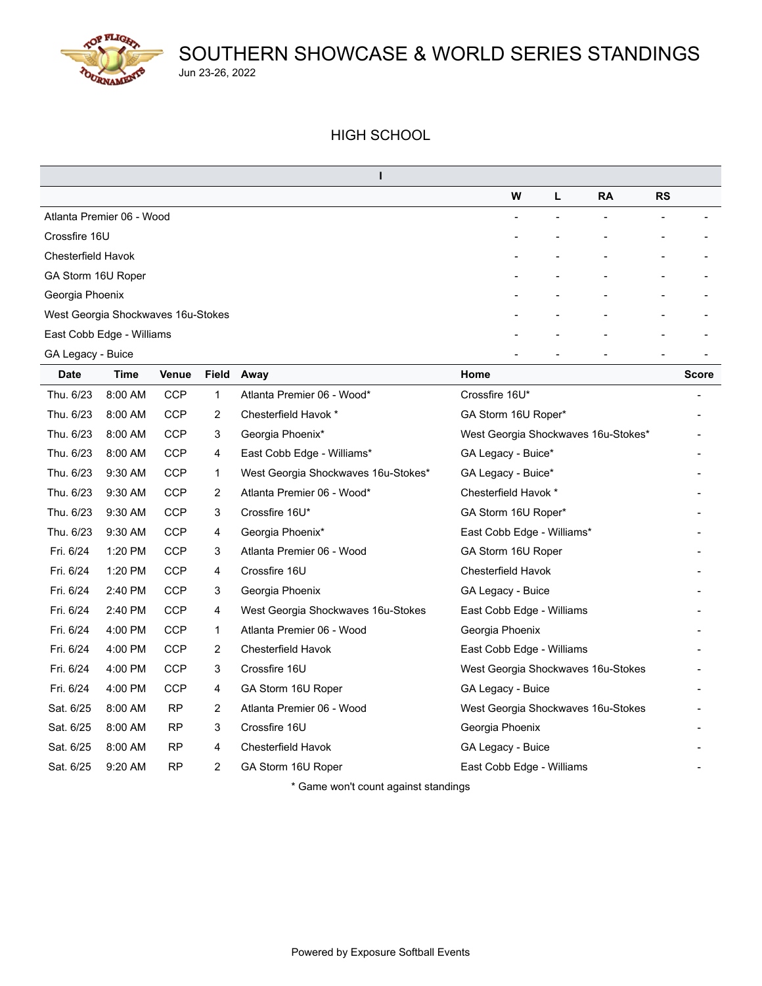

#### HIGH SCHOOL

|                                    | W                        | L. | <b>RA</b> | <b>RS</b>                |  |
|------------------------------------|--------------------------|----|-----------|--------------------------|--|
| Atlanta Premier 06 - Wood          | $\overline{\phantom{a}}$ |    |           |                          |  |
| Crossfire 16U                      | $\overline{\phantom{0}}$ |    |           | -                        |  |
| <b>Chesterfield Havok</b>          | $\overline{\phantom{a}}$ |    |           |                          |  |
| GA Storm 16U Roper                 | $\overline{\phantom{a}}$ |    |           | $\overline{\phantom{a}}$ |  |
| Georgia Phoenix                    | $\overline{\phantom{a}}$ |    | ۰         | ۰                        |  |
| West Georgia Shockwaves 16u-Stokes | $\overline{\phantom{0}}$ |    | -         | $\overline{\phantom{a}}$ |  |
| East Cobb Edge - Williams          | -                        |    |           |                          |  |
| GA Legacy - Buice                  |                          |    |           |                          |  |

| <b>Date</b> | Time    | Venue      |                       | Field Away                                      | Home                                | <b>Score</b> |
|-------------|---------|------------|-----------------------|-------------------------------------------------|-------------------------------------|--------------|
| Thu. 6/23   | 8:00 AM | <b>CCP</b> | 1                     | Atlanta Premier 06 - Wood*                      | Crossfire 16U*                      |              |
| Thu. 6/23   | 8:00 AM | <b>CCP</b> | $\overline{2}$        | Chesterfield Havok *                            | GA Storm 16U Roper*                 |              |
| Thu. 6/23   | 8:00 AM | <b>CCP</b> | 3                     | Georgia Phoenix*                                | West Georgia Shockwaves 16u-Stokes* |              |
| Thu. 6/23   | 8:00 AM | <b>CCP</b> | 4                     | East Cobb Edge - Williams*                      | GA Legacy - Buice*                  |              |
| Thu. 6/23   | 9:30 AM | <b>CCP</b> | 1                     | West Georgia Shockwaves 16u-Stokes*             | GA Legacy - Buice*                  |              |
| Thu. 6/23   | 9:30 AM | <b>CCP</b> | $\overline{2}$        | Atlanta Premier 06 - Wood*                      | Chesterfield Havok *                |              |
| Thu. 6/23   | 9:30 AM | <b>CCP</b> | 3                     | Crossfire 16U*                                  | GA Storm 16U Roper*                 |              |
| Thu. 6/23   | 9:30 AM | <b>CCP</b> | 4                     | Georgia Phoenix*                                | East Cobb Edge - Williams*          |              |
| Fri. 6/24   | 1:20 PM | <b>CCP</b> | 3                     | Atlanta Premier 06 - Wood                       | GA Storm 16U Roper                  |              |
| Fri. 6/24   | 1:20 PM | <b>CCP</b> | 4                     | Crossfire 16U                                   | Chesterfield Havok                  |              |
| Fri. 6/24   | 2:40 PM | <b>CCP</b> | 3                     | Georgia Phoenix                                 | GA Legacy - Buice                   |              |
| Fri. 6/24   | 2:40 PM | <b>CCP</b> | 4                     | West Georgia Shockwaves 16u-Stokes              | East Cobb Edge - Williams           |              |
| Fri. 6/24   | 4:00 PM | <b>CCP</b> | 1                     | Atlanta Premier 06 - Wood                       | Georgia Phoenix                     |              |
| Fri. 6/24   | 4:00 PM | <b>CCP</b> | 2                     | Chesterfield Havok                              | East Cobb Edge - Williams           |              |
| Fri. 6/24   | 4:00 PM | <b>CCP</b> | 3                     | Crossfire 16U                                   | West Georgia Shockwaves 16u-Stokes  |              |
| Fri. 6/24   | 4:00 PM | <b>CCP</b> | 4                     | GA Storm 16U Roper                              | GA Legacy - Buice                   |              |
| Sat. 6/25   | 8:00 AM | <b>RP</b>  | $\mathbf{2}^{\prime}$ | Atlanta Premier 06 - Wood                       | West Georgia Shockwaves 16u-Stokes  |              |
| Sat. 6/25   | 8:00 AM | RP         | 3                     | Crossfire 16U                                   | Georgia Phoenix                     |              |
| Sat. 6/25   | 8:00 AM | <b>RP</b>  | 4                     | Chesterfield Havok                              | GA Legacy - Buice                   |              |
| Sat. 6/25   | 9:20 AM | <b>RP</b>  | 2                     | GA Storm 16U Roper                              | East Cobb Edge - Williams           |              |
|             |         |            |                       | * Osman was the second second and showed the se |                                     |              |

Game won't count against standings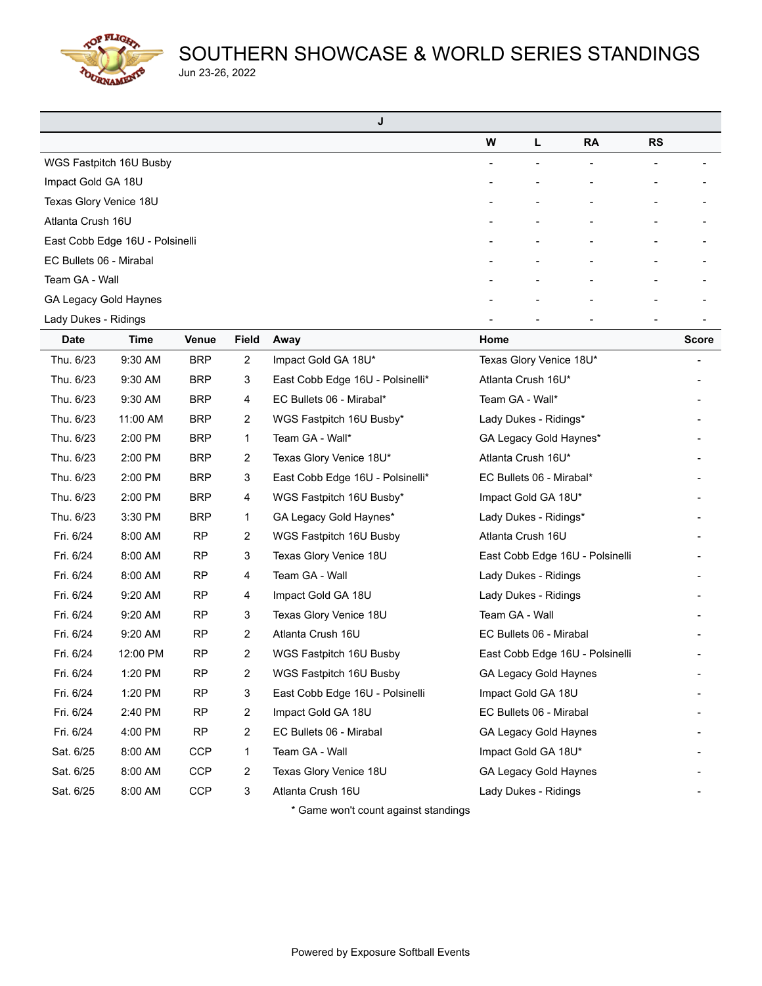**COP FLIGHT** URNAME

# SOUTHERN SHOWCASE & WORLD SERIES STANDINGS Jun 23-26, 2022

| J                               |   |   |                          |           |  |
|---------------------------------|---|---|--------------------------|-----------|--|
|                                 | W | L | <b>RA</b>                | <b>RS</b> |  |
| WGS Fastpitch 16U Busby         |   |   | $\overline{\phantom{a}}$ |           |  |
| Impact Gold GA 18U              |   |   |                          |           |  |
| Texas Glory Venice 18U          |   |   |                          |           |  |
| Atlanta Crush 16U               |   |   | ۰                        |           |  |
| East Cobb Edge 16U - Polsinelli |   |   |                          |           |  |
| EC Bullets 06 - Mirabal         |   |   |                          |           |  |
| Team GA - Wall                  |   |   | ٠                        |           |  |
| GA Legacy Gold Haynes           |   |   |                          |           |  |
| Lady Dukes - Ridings            |   |   |                          |           |  |

| <b>Date</b> | Time     | <b>Venue</b> | <b>Field</b>   | Away                             | Home                            | <b>Score</b> |
|-------------|----------|--------------|----------------|----------------------------------|---------------------------------|--------------|
| Thu. 6/23   | 9:30 AM  | <b>BRP</b>   | $\overline{2}$ | Impact Gold GA 18U*              | Texas Glory Venice 18U*         |              |
| Thu. 6/23   | 9:30 AM  | <b>BRP</b>   | 3              | East Cobb Edge 16U - Polsinelli* | Atlanta Crush 16U*              |              |
| Thu. 6/23   | 9:30 AM  | <b>BRP</b>   | 4              | EC Bullets 06 - Mirabal*         | Team GA - Wall*                 |              |
| Thu. 6/23   | 11:00 AM | <b>BRP</b>   | $\overline{2}$ | WGS Fastpitch 16U Busby*         | Lady Dukes - Ridings*           |              |
| Thu. 6/23   | 2:00 PM  | <b>BRP</b>   | 1              | Team GA - Wall*                  | GA Legacy Gold Haynes*          |              |
| Thu. 6/23   | 2:00 PM  | <b>BRP</b>   | $\overline{2}$ | Texas Glory Venice 18U*          | Atlanta Crush 16U*              |              |
| Thu. 6/23   | 2:00 PM  | <b>BRP</b>   | 3              | East Cobb Edge 16U - Polsinelli* | EC Bullets 06 - Mirabal*        |              |
| Thu. 6/23   | 2:00 PM  | <b>BRP</b>   | 4              | WGS Fastpitch 16U Busby*         | Impact Gold GA 18U*             |              |
| Thu. 6/23   | 3:30 PM  | <b>BRP</b>   | 1              | GA Legacy Gold Haynes*           | Lady Dukes - Ridings*           |              |
| Fri. 6/24   | 8:00 AM  | <b>RP</b>    | $\overline{2}$ | WGS Fastpitch 16U Busby          | Atlanta Crush 16U               |              |
| Fri. 6/24   | 8:00 AM  | <b>RP</b>    | 3              | Texas Glory Venice 18U           | East Cobb Edge 16U - Polsinelli |              |
| Fri. 6/24   | 8:00 AM  | <b>RP</b>    | 4              | Team GA - Wall                   | Lady Dukes - Ridings            |              |
| Fri. 6/24   | 9:20 AM  | <b>RP</b>    | 4              | Impact Gold GA 18U               | Lady Dukes - Ridings            |              |
| Fri. 6/24   | 9:20 AM  | <b>RP</b>    | 3              | Texas Glory Venice 18U           | Team GA - Wall                  |              |
| Fri. 6/24   | 9:20 AM  | <b>RP</b>    | $\overline{2}$ | Atlanta Crush 16U                | EC Bullets 06 - Mirabal         |              |
| Fri. 6/24   | 12:00 PM | <b>RP</b>    | $\overline{2}$ | WGS Fastpitch 16U Busby          | East Cobb Edge 16U - Polsinelli |              |
| Fri. 6/24   | 1:20 PM  | <b>RP</b>    | $\overline{2}$ | WGS Fastpitch 16U Busby          | GA Legacy Gold Haynes           |              |
| Fri. 6/24   | 1:20 PM  | <b>RP</b>    | 3              | East Cobb Edge 16U - Polsinelli  | Impact Gold GA 18U              |              |
| Fri. 6/24   | 2:40 PM  | <b>RP</b>    | $\overline{2}$ | Impact Gold GA 18U               | EC Bullets 06 - Mirabal         |              |
| Fri. 6/24   | 4:00 PM  | <b>RP</b>    | 2              | EC Bullets 06 - Mirabal          | GA Legacy Gold Haynes           |              |
| Sat. 6/25   | 8:00 AM  | <b>CCP</b>   | 1              | Team GA - Wall                   | Impact Gold GA 18U*             |              |
| Sat. 6/25   | 8:00 AM  | <b>CCP</b>   | $\overline{2}$ | Texas Glory Venice 18U           | GA Legacy Gold Haynes           |              |
| Sat. 6/25   | 8:00 AM  | <b>CCP</b>   | 3              | Atlanta Crush 16U                | Lady Dukes - Ridings            |              |
|             |          |              |                |                                  |                                 |              |

\* Game won't count against standings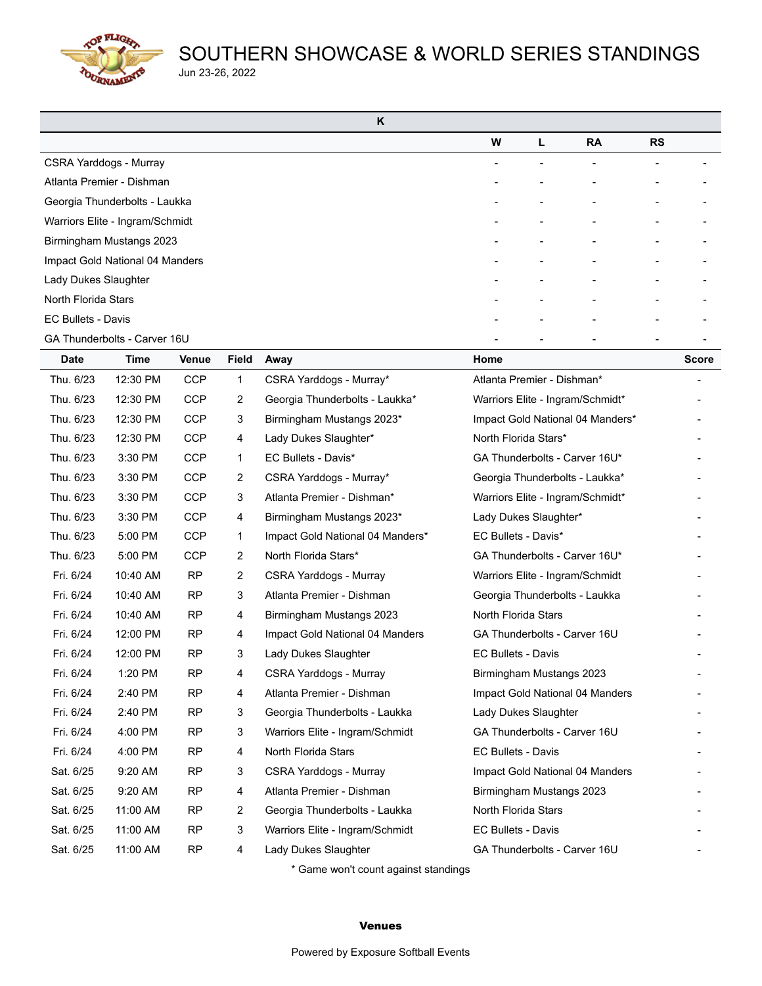**COP FLIGHT** URNAME

# SOUTHERN SHOWCASE & WORLD SERIES STANDINGS Jun 23-26, 2022

| K                               |   |   |           |                          |  |
|---------------------------------|---|---|-----------|--------------------------|--|
|                                 | W | L | <b>RA</b> | <b>RS</b>                |  |
| CSRA Yarddogs - Murray          |   |   |           | $\overline{\phantom{a}}$ |  |
| Atlanta Premier - Dishman       |   |   |           |                          |  |
| Georgia Thunderbolts - Laukka   |   |   |           |                          |  |
| Warriors Elite - Ingram/Schmidt |   |   |           |                          |  |
| Birmingham Mustangs 2023        |   |   |           |                          |  |
| Impact Gold National 04 Manders |   |   |           |                          |  |
| Lady Dukes Slaughter            |   |   |           |                          |  |
| North Florida Stars             |   |   |           |                          |  |
| <b>EC Bullets - Davis</b>       |   |   |           |                          |  |
| GA Thunderbolts - Carver 16U    |   |   |           |                          |  |

| <b>Date</b> | <b>Time</b> | <b>Venue</b> | <b>Field</b>   | Away                                      | Home                             | <b>Score</b> |
|-------------|-------------|--------------|----------------|-------------------------------------------|----------------------------------|--------------|
| Thu. 6/23   | 12:30 PM    | <b>CCP</b>   | $\mathbf{1}$   | CSRA Yarddogs - Murray*                   | Atlanta Premier - Dishman*       |              |
| Thu. 6/23   | 12:30 PM    | <b>CCP</b>   | 2              | Georgia Thunderbolts - Laukka*            | Warriors Elite - Ingram/Schmidt* |              |
| Thu. 6/23   | 12:30 PM    | <b>CCP</b>   | 3              | Birmingham Mustangs 2023*                 | Impact Gold National 04 Manders* |              |
| Thu. 6/23   | 12:30 PM    | <b>CCP</b>   | 4              | Lady Dukes Slaughter*                     | North Florida Stars*             |              |
| Thu. 6/23   | 3:30 PM     | <b>CCP</b>   | $\mathbf{1}$   | EC Bullets - Davis*                       | GA Thunderbolts - Carver 16U*    |              |
| Thu. 6/23   | 3:30 PM     | <b>CCP</b>   | 2              | CSRA Yarddogs - Murray*                   | Georgia Thunderbolts - Laukka*   |              |
| Thu. 6/23   | 3:30 PM     | <b>CCP</b>   | 3              | Atlanta Premier - Dishman*                | Warriors Elite - Ingram/Schmidt* |              |
| Thu. 6/23   | 3:30 PM     | <b>CCP</b>   | 4              | Birmingham Mustangs 2023*                 | Lady Dukes Slaughter*            |              |
| Thu. 6/23   | 5:00 PM     | <b>CCP</b>   | 1              | Impact Gold National 04 Manders*          | EC Bullets - Davis*              |              |
| Thu. 6/23   | 5:00 PM     | <b>CCP</b>   | 2              | North Florida Stars*                      | GA Thunderbolts - Carver 16U*    |              |
| Fri. 6/24   | 10:40 AM    | <b>RP</b>    | 2              | CSRA Yarddogs - Murray                    | Warriors Elite - Ingram/Schmidt  |              |
| Fri. 6/24   | 10:40 AM    | <b>RP</b>    | 3              | Atlanta Premier - Dishman                 | Georgia Thunderbolts - Laukka    |              |
| Fri. 6/24   | 10:40 AM    | <b>RP</b>    | 4              | Birmingham Mustangs 2023                  | North Florida Stars              |              |
| Fri. 6/24   | 12:00 PM    | <b>RP</b>    | 4              | Impact Gold National 04 Manders           | GA Thunderbolts - Carver 16U     |              |
| Fri. 6/24   | 12:00 PM    | <b>RP</b>    | 3              | Lady Dukes Slaughter                      | <b>EC Bullets - Davis</b>        |              |
| Fri. 6/24   | 1:20 PM     | <b>RP</b>    | 4              | CSRA Yarddogs - Murray                    | Birmingham Mustangs 2023         |              |
| Fri. 6/24   | 2:40 PM     | <b>RP</b>    | 4              | Atlanta Premier - Dishman                 | Impact Gold National 04 Manders  |              |
| Fri. 6/24   | 2:40 PM     | <b>RP</b>    | 3              | Georgia Thunderbolts - Laukka             | Lady Dukes Slaughter             |              |
| Fri. 6/24   | 4:00 PM     | <b>RP</b>    | 3              | Warriors Elite - Ingram/Schmidt           | GA Thunderbolts - Carver 16U     |              |
| Fri. 6/24   | 4:00 PM     | <b>RP</b>    | 4              | North Florida Stars                       | EC Bullets - Davis               |              |
| Sat. 6/25   | 9:20 AM     | <b>RP</b>    | 3              | CSRA Yarddogs - Murray                    | Impact Gold National 04 Manders  |              |
| Sat. 6/25   | 9:20 AM     | <b>RP</b>    | 4              | Atlanta Premier - Dishman                 | Birmingham Mustangs 2023         |              |
| Sat. 6/25   | 11:00 AM    | <b>RP</b>    | $\overline{2}$ | Georgia Thunderbolts - Laukka             | North Florida Stars              |              |
| Sat. 6/25   | 11:00 AM    | <b>RP</b>    | 3              | Warriors Elite - Ingram/Schmidt           | <b>EC Bullets - Davis</b>        |              |
| Sat. 6/25   | 11:00 AM    | <b>RP</b>    | 4              | Lady Dukes Slaughter                      | GA Thunderbolts - Carver 16U     |              |
|             |             |              |                | $\star$ Came want count capinat standings |                                  |              |

Game won't count against standings

#### Venues